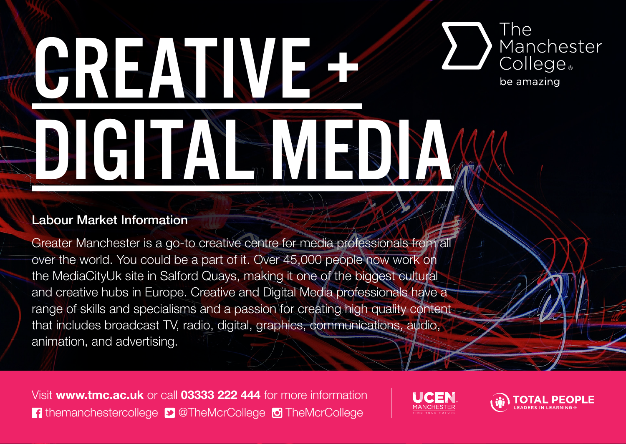## The GREATIVES Manchester College<sub>®</sub> be amazing DIGITAL MEDIA

#### Labour Market Information

Greater Manchester is a go-to creative centre for media professionals from all over the world. You could be a part of it. Over 45,000 people now work on the MediaCityUk site in Salford Quays, making it one of the biggest cultural and creative hubs in Europe. Creative and Digital Media professionals have a range of skills and specialisms and a passion for creating high quality content that includes broadcast TV, radio, digital, graphics, communications, audio, animation, and advertising.

Visit **www.tmc.ac.uk** or call **03333 222 444** for more information **f** themanchestercollege **D** @TheMcrCollege **TheMcrCollege**